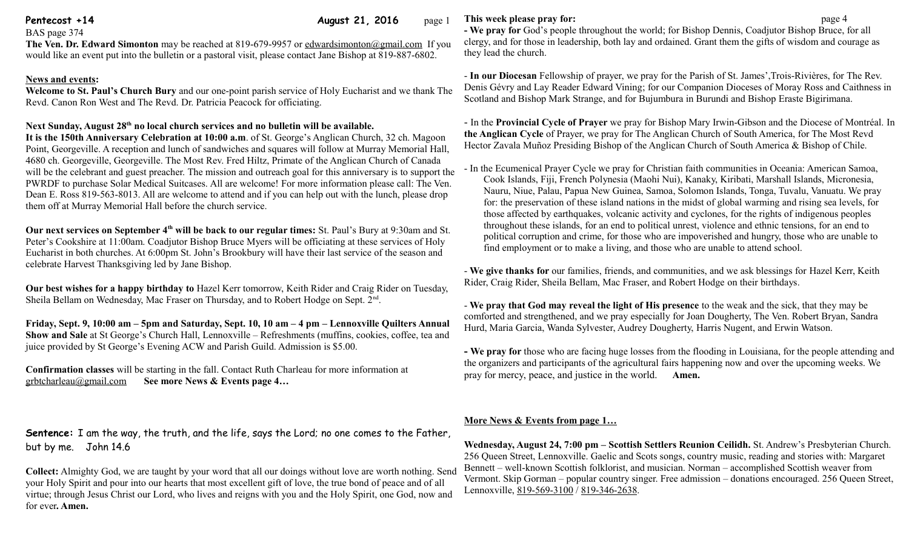**Pentecost +14 August 21, 2016** page 1

BAS page 374

**The Ven. Dr. Edward Simonton** may be reached at 819-679-9957 or [edwardsimonton@gmail.com](mailto:edwardsimonton@gmail.com) If you would like an event put into the bulletin or a pastoral visit, please contact Jane Bishop at 819-887-6802.

### **News and events:**

**Welcome to St. Paul's Church Bury** and our one-point parish service of Holy Eucharist and we thank The Revd. Canon Ron West and The Revd. Dr. Patricia Peacock for officiating.

# **Next Sunday, August 28th no local church services and no bulletin will be available.**

**It is the 150th Anniversary Celebration at 10:00 a.m**. of St. George's Anglican Church, 32 ch. Magoon Point, Georgeville. A reception and lunch of sandwiches and squares will follow at Murray Memorial Hall, 4680 ch. Georgeville, Georgeville. The Most Rev. Fred Hiltz, Primate of the Anglican Church of Canada will be the celebrant and guest preacher. The mission and outreach goal for this anniversary is to support the PWRDF to purchase Solar Medical Suitcases. All are welcome! For more information please call: The Ven. Dean E. Ross 819-563-8013. All are welcome to attend and if you can help out with the lunch, please drop them off at Murray Memorial Hall before the church service.

**Our next services on September 4th will be back to our regular times:** St. Paul's Bury at 9:30am and St. Peter's Cookshire at 11:00am. Coadjutor Bishop Bruce Myers will be officiating at these services of Holy Eucharist in both churches. At 6:00pm St. John's Brookbury will have their last service of the season and celebrate Harvest Thanksgiving led by Jane Bishop.

**Our best wishes for a happy birthday to** Hazel Kerr tomorrow, Keith Rider and Craig Rider on Tuesday, Sheila Bellam on Wednesday, Mac Fraser on Thursday, and to Robert Hodge on Sept. 2<sup>nd</sup>.

**Friday, Sept. 9, 10:00 am – 5pm and Saturday, Sept. 10, 10 am – 4 pm – Lennoxville Quilters Annual Show and Sale** at St George's Church Hall, Lennoxville – Refreshments (muffins, cookies, coffee, tea and juice provided by St George's Evening ACW and Parish Guild. Admission is \$5.00.

**Confirmation classes** will be starting in the fall. Contact Ruth Charleau for more information at [grbtcharleau@gmail.com](mailto:grbtcharleau@gmail.com) **See more News & Events page 4…**

**Sentence:** I am the way, the truth, and the life, says the Lord; no one comes to the Father, but by me. John 14.6

**Collect:** Almighty God, we are taught by your word that all our doings without love are worth nothing. Send your Holy Spirit and pour into our hearts that most excellent gift of love, the true bond of peace and of all virtue; through Jesus Christ our Lord, who lives and reigns with you and the Holy Spirit, one God, now and for ever**. Amen.**

## **This week please pray for: page 4**

**- We pray for** God's people throughout the world; for Bishop Dennis, Coadjutor Bishop Bruce, for all clergy, and for those in leadership, both lay and ordained. Grant them the gifts of wisdom and courage as they lead the church.

- **In our Diocesan** Fellowship of prayer, we pray for the Parish of St. James',Trois-Rivières, for The Rev. Denis Gévry and Lay Reader Edward Vining; for our Companion Dioceses of Moray Ross and Caithness in Scotland and Bishop Mark Strange, and for Bujumbura in Burundi and Bishop Eraste Bigirimana.

- In the **Provincial Cycle of Prayer** we pray for Bishop Mary Irwin-Gibson and the Diocese of Montréal. In **the Anglican Cycle** of Prayer, we pray for The Anglican Church of South America, for The Most Revd Hector Zavala Muñoz Presiding Bishop of the Anglican Church of South America & Bishop of Chile.

- In the Ecumenical Prayer Cycle we pray for Christian faith communities in Oceania: American Samoa, Cook Islands, Fiji, French Polynesia (Maohi Nui), Kanaky, Kiribati, Marshall Islands, Micronesia, Nauru, Niue, Palau, Papua New Guinea, Samoa, Solomon Islands, Tonga, Tuvalu, Vanuatu. We pray for: the preservation of these island nations in the midst of global warming and rising sea levels, for those affected by earthquakes, volcanic activity and cyclones, for the rights of indigenous peoples throughout these islands, for an end to political unrest, violence and ethnic tensions, for an end to political corruption and crime, for those who are impoverished and hungry, those who are unable to find employment or to make a living, and those who are unable to attend school.

- **We give thanks for** our families, friends, and communities, and we ask blessings for Hazel Kerr, Keith Rider, Craig Rider, Sheila Bellam, Mac Fraser, and Robert Hodge on their birthdays.

- **We pray that God may reveal the light of His presence** to the weak and the sick, that they may be comforted and strengthened, and we pray especially for Joan Dougherty, The Ven. Robert Bryan, Sandra Hurd, Maria Garcia, Wanda Sylvester, Audrey Dougherty, Harris Nugent, and Erwin Watson.

**- We pray for** those who are facing huge losses from the flooding in Louisiana, for the people attending and the organizers and participants of the agricultural fairs happening now and over the upcoming weeks. We pray for mercy, peace, and justice in the world. **Amen.**

# **More News & Events from page 1…**

**Wednesday, August 24, 7:00 pm – Scottish Settlers Reunion Ceilidh.** St. Andrew's Presbyterian Church. 256 Queen Street, Lennoxville. Gaelic and Scots songs, country music, reading and stories with: Margaret Bennett – well-known Scottish folklorist, and musician. Norman – accomplished Scottish weaver from Vermont. Skip Gorman – popular country singer. Free admission – donations encouraged. 256 Queen Street, Lennoxville, [819-569-3100](tel:819-569-3100) / [819-346-2638.](tel:819-346-2638)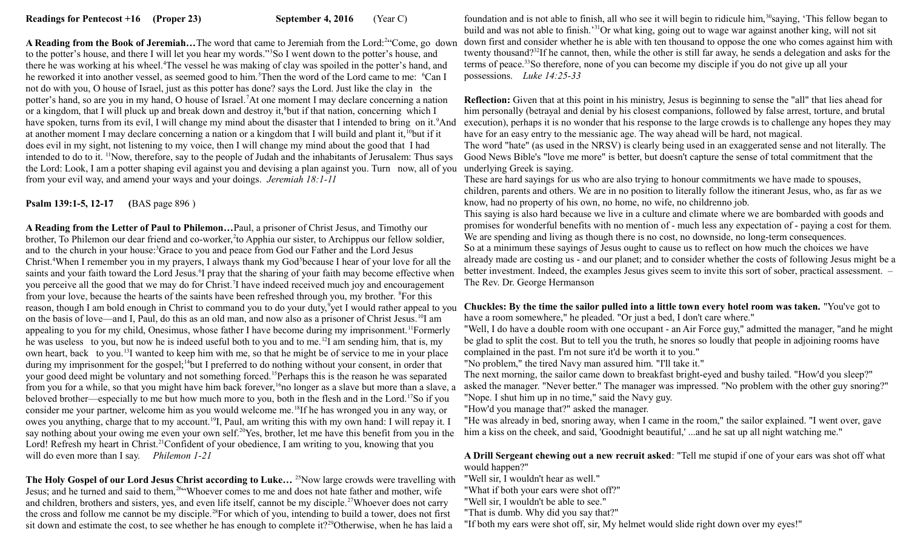A Reading from the Book of Jeremiah...The word that came to Jeremiah from the Lord:<sup>2"</sup>Come, go down to the potter's house, and there I will let you hear my words."<sup>3</sup>So I went down to the potter's house, and there he was working at his wheel.<sup>4</sup>The vessel he was making of clay was spoiled in the potter's hand, and he reworked it into another vessel, as seemed good to him.<sup>5</sup>Then the word of the Lord came to me: <sup>6</sup>Can I not do with you, O house of Israel, just as this potter has done? says the Lord. Just like the clay in the potter's hand, so are you in my hand, O house of Israel.<sup>7</sup>At one moment I may declare concerning a nation or a kingdom, that I will pluck up and break down and destroy it,<sup>8</sup>but if that nation, concerning which I have spoken, turns from its evil, I will change my mind about the disaster that I intended to bring on it.<sup>9</sup>And at another moment I may declare concerning a nation or a kingdom that I will build and plant it,<sup>10</sup>but if it does evil in my sight, not listening to my voice, then I will change my mind about the good that I had intended to do to it. <sup>11</sup>Now, therefore, say to the people of Judah and the inhabitants of Jerusalem: Thus says the Lord: Look, I am a potter shaping evil against you and devising a plan against you. Turn now, all of you underlying Greek is saying. from your evil way, and amend your ways and your doings. *Jeremiah 18:1-11* 

**Psalm 139:1-5, 12-17 (**BAS page 896 )

**A Reading from the Letter of Paul to Philemon…**Paul, a prisoner of Christ Jesus, and Timothy our brother, To Philemon our dear friend and co-worker, to Apphia our sister, to Archippus our fellow soldier, and to the church in your house:<sup>3</sup>Grace to you and peace from God our Father and the Lord Jesus Christ.<sup>4</sup>When I remember you in my prayers, I always thank my God<sup>5</sup>because I hear of your love for all the saints and your faith toward the Lord Jesus. <sup>6</sup>I pray that the sharing of your faith may become effective when you perceive all the good that we may do for Christ.<sup>7</sup>I have indeed received much joy and encouragement from your love, because the hearts of the saints have been refreshed through you, my brother. <sup>8</sup>For this reason, though I am bold enough in Christ to command you to do your duty,<sup>9</sup>yet I would rather appeal to you on the basis of love—and I, Paul, do this as an old man, and now also as a prisoner of Christ Jesus.<sup>10</sup>I am appealing to you for my child, Onesimus, whose father I have become during my imprisonment.<sup>11</sup>Formerly he was useless to you, but now he is indeed useful both to you and to me.<sup>12</sup>I am sending him, that is, my own heart, back to you.<sup>13</sup>I wanted to keep him with me, so that he might be of service to me in your place during my imprisonment for the gospel;<sup>14</sup>but I preferred to do nothing without your consent, in order that your good deed might be voluntary and not something forced.<sup>15</sup>Perhaps this is the reason he was separated from you for a while, so that you might have him back forever,<sup>16</sup>no longer as a slave but more than a slave, a beloved brother—especially to me but how much more to you, both in the flesh and in the Lord.<sup>17</sup>So if you consider me your partner, welcome him as you would welcome me.<sup>18</sup>If he has wronged you in any way, or owes you anything, charge that to my account.<sup>19</sup>I, Paul, am writing this with my own hand: I will repay it. I say nothing about your owing me even your own self.<sup>20</sup>Yes, brother, let me have this benefit from you in the Lord! Refresh my heart in Christ.<sup>21</sup>Confident of your obedience, I am writing to you, knowing that you will do even more than I say. *Philemon 1-21*

**The Holy Gospel of our Lord Jesus Christ according to Luke...<sup>25</sup>Now large crowds were travelling with** Jesus; and he turned and said to them, <sup>264</sup> Whoever comes to me and does not hate father and mother, wife and children, brothers and sisters, yes, and even life itself, cannot be my disciple.<sup>27</sup>Whoever does not carry the cross and follow me cannot be my disciple.<sup>28</sup>For which of you, intending to build a tower, does not first sit down and estimate the cost, to see whether he has enough to complete it?<sup>29</sup>Otherwise, when he has laid a

foundation and is not able to finish, all who see it will begin to ridicule him,<sup>30</sup>saying, 'This fellow began to build and was not able to finish.'<sup>31</sup>Or what king, going out to wage war against another king, will not sit down first and consider whether he is able with ten thousand to oppose the one who comes against him with twenty thousand?<sup>32</sup>If he cannot, then, while the other is still far away, he sends a delegation and asks for the terms of peace.<sup>33</sup>So therefore, none of you can become my disciple if you do not give up all your possessions. *Luke 14:25-33*

**Reflection:** Given that at this point in his ministry, Jesus is beginning to sense the "all" that lies ahead for him personally (betrayal and denial by his closest companions, followed by false arrest, torture, and brutal execution), perhaps it is no wonder that his response to the large crowds is to challenge any hopes they may have for an easy entry to the messianic age. The way ahead will be hard, not magical.

The word "hate" (as used in the NRSV) is clearly being used in an exaggerated sense and not literally. The Good News Bible's "love me more" is better, but doesn't capture the sense of total commitment that the

These are hard sayings for us who are also trying to honour commitments we have made to spouses, children, parents and others. We are in no position to literally follow the itinerant Jesus, who, as far as we know, had no property of his own, no home, no wife, no childrenno job.

This saying is also hard because we live in a culture and climate where we are bombarded with goods and promises for wonderful benefits with no mention of - much less any expectation of - paying a cost for them. We are spending and living as though there is no cost, no downside, no long-term consequences. So at a minimum these sayings of Jesus ought to cause us to reflect on how much the choices we have already made are costing us - and our planet; and to consider whether the costs of following Jesus might be a better investment. Indeed, the examples Jesus gives seem to invite this sort of sober, practical assessment. – The Rev. Dr. George Hermanson

**Chuckles: By the time the sailor pulled into a little town every hotel room was taken.** "You've got to have a room somewhere," he pleaded. "Or just a bed, I don't care where."

"Well, I do have a double room with one occupant - an Air Force guy," admitted the manager, "and he might be glad to split the cost. But to tell you the truth, he snores so loudly that people in adjoining rooms have complained in the past. I'm not sure it'd be worth it to you."

"No problem," the tired Navy man assured him. "I'll take it."

The next morning, the sailor came down to breakfast bright-eyed and bushy tailed. "How'd you sleep?" asked the manager. "Never better." The manager was impressed. "No problem with the other guy snoring?" "Nope. I shut him up in no time," said the Navy guy.

"How'd you manage that?" asked the manager.

"He was already in bed, snoring away, when I came in the room," the sailor explained. "I went over, gave him a kiss on the cheek, and said, 'Goodnight beautiful,' ...and he sat up all night watching me."

#### **A Drill Sergeant chewing out a new recruit asked**: "Tell me stupid if one of your ears was shot off what would happen?"

"Well sir, I wouldn't hear as well."

- "What if both your ears were shot off?"
- "Well sir, I wouldn't be able to see."
- "That is dumb. Why did you say that?"
- "If both my ears were shot off, sir, My helmet would slide right down over my eyes!"